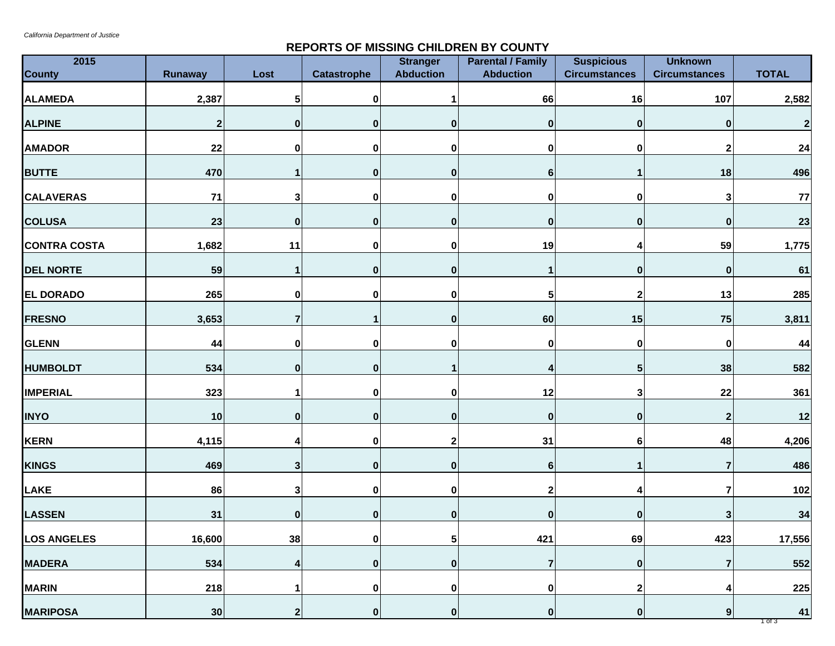## **REPORTS OF MISSING CHILDREN BY COUNTY**

| 2015                |              | Lost           | <b>Catastrophe</b> | <b>Stranger</b><br><b>Abduction</b> | <b>Parental / Family</b><br><b>Abduction</b> | <b>Suspicious</b><br><b>Circumstances</b> | <b>Unknown</b><br><b>Circumstances</b> | <b>TOTAL</b>     |
|---------------------|--------------|----------------|--------------------|-------------------------------------|----------------------------------------------|-------------------------------------------|----------------------------------------|------------------|
| <b>County</b>       | Runaway      |                |                    |                                     |                                              |                                           |                                        |                  |
| <b>ALAMEDA</b>      | 2,387        | 5              | $\bf{0}$           |                                     | 66                                           | 16                                        | 107                                    | 2,582            |
| <b>ALPINE</b>       | $\mathbf{2}$ | $\mathbf 0$    | $\bf{0}$           | $\bf{0}$                            | 0                                            | $\bf{0}$                                  |                                        | $\mathbf{2}$     |
| <b>AMADOR</b>       | 22           | 0              | $\mathbf 0$        | 0                                   | 0                                            | $\pmb{0}$                                 | 2                                      | 24               |
| <b>BUTTE</b>        | 470          |                | $\bf{0}$           | $\bf{0}$                            | $6 \mid$                                     | 1                                         | 18                                     | 496              |
| <b>CALAVERAS</b>    | 71           | 3              | $\bf{0}$           | 0                                   | 0                                            | 0                                         | 3                                      | 77               |
| <b>COLUSA</b>       | 23           | 0              | $\bf{0}$           | $\bf{0}$                            | 0                                            | $\bf{0}$                                  | $\bf{0}$                               | 23               |
| <b>CONTRA COSTA</b> | 1,682        | 11             | $\mathbf 0$        | 0                                   | 19                                           | 4                                         | 59                                     | 1,775            |
| <b>DEL NORTE</b>    | 59           |                | $\bf{0}$           | O                                   | 1                                            | $\bf{0}$                                  | 0                                      | 61               |
| <b>EL DORADO</b>    | 265          | 0              | 0                  | O                                   | 5                                            | $\boldsymbol{2}$                          | 13                                     | 285              |
| <b>FRESNO</b>       | 3,653        | 7              |                    | $\bf{0}$                            | 60                                           | 15                                        | 75                                     | 3,811            |
| <b>GLENN</b>        | 44           | 0              | $\bf{0}$           | O                                   | 0                                            | $\pmb{0}$                                 | 0                                      | 44               |
| <b>HUMBOLDT</b>     | 534          | $\bf{0}$       | 0                  |                                     | 4                                            | 5                                         | 38                                     | 582              |
| <b>IMPERIAL</b>     | 323          |                | 0                  | ŋ                                   | 12                                           | 3                                         | 22                                     | 361              |
| <b>INYO</b>         | 10           | 0              | $\mathbf{0}$       | $\bf{0}$                            | 0                                            | $\pmb{0}$                                 | $\mathbf 2$                            | 12               |
| <b>KERN</b>         | 4,115        |                | $\bf{0}$           | 2                                   | 31                                           | 6                                         | 48                                     | 4,206            |
| <b>KINGS</b>        | 469          | 3              | $\bf{0}$           | $\bf{0}$                            | 6                                            |                                           |                                        | 486              |
| <b>LAKE</b>         | 86           | 3 <sup>1</sup> | $\bf{0}$           | 0                                   | 2                                            | 4                                         |                                        | 102              |
| <b>LASSEN</b>       | 31           | $\mathbf{0}$   | $\mathbf{0}$       | $\bf{0}$                            | 0                                            | $\bf{0}$                                  |                                        | 34               |
| <b>LOS ANGELES</b>  | 16,600       | 38             | $\pmb{0}$          | $5\phantom{.0}$                     | 421                                          | 69                                        | 423                                    | 17,556           |
| <b>MADERA</b>       | 534          | 4              | $\bf{0}$           | $\bf{0}$                            | 7                                            | $\pmb{0}$                                 |                                        | 552              |
| <b>MARIN</b>        | 218          |                | $\mathbf 0$        | 0                                   | $\pmb{0}$                                    | $\boldsymbol{2}$                          |                                        | 225              |
| <b>MARIPOSA</b>     | 30           | $\mathbf 2$    | $\bf{0}$           | $\bf{0}$                            | $\boldsymbol{0}$                             | $\mathbf{0}$                              | 9                                      | 41<br>$1$ of $3$ |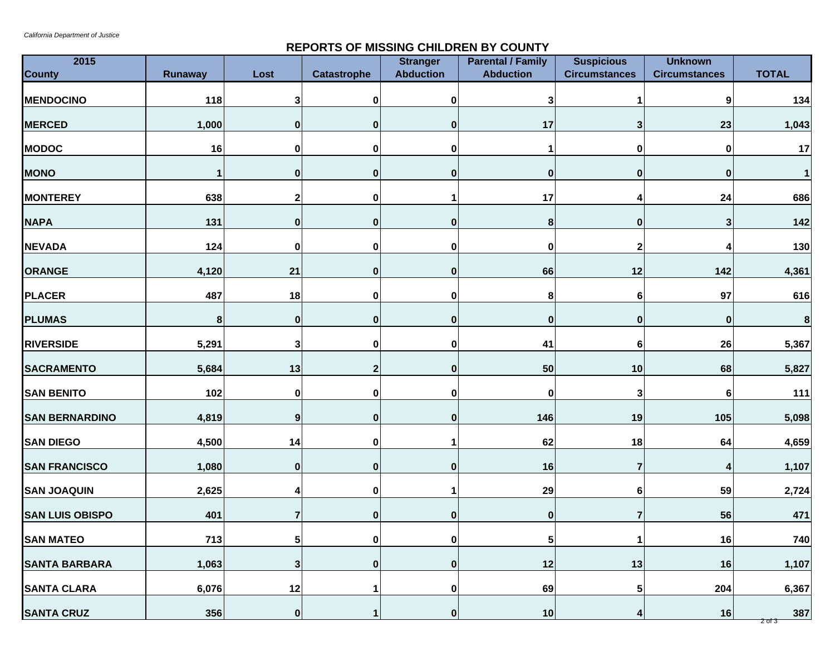## **REPORTS OF MISSING CHILDREN BY COUNTY**

| 2015<br><b>County</b>  | Runaway | Lost             | <b>Catastrophe</b> | <b>Stranger</b><br><b>Abduction</b> | <b>Parental / Family</b><br><b>Abduction</b> | <b>Suspicious</b><br><b>Circumstances</b> | <b>Unknown</b><br><b>Circumstances</b> | <b>TOTAL</b>      |
|------------------------|---------|------------------|--------------------|-------------------------------------|----------------------------------------------|-------------------------------------------|----------------------------------------|-------------------|
| <b>MENDOCINO</b>       | 118     | 3                | 0                  | 0                                   | 3                                            |                                           | 9                                      | 134               |
| <b>MERCED</b>          | 1,000   | $\mathbf 0$      | $\bf{0}$           | $\bf{0}$                            | 17                                           | $\mathbf{3}$                              | 23                                     | 1,043             |
| <b>MODOC</b>           | 16      | 0                | $\bf{0}$           | 0                                   | 1                                            | 0                                         | 0                                      | 17                |
| <b>MONO</b>            | 1       | 0                | $\bf{0}$           | $\bf{0}$                            | 0                                            | $\bf{0}$                                  | 0                                      | 11                |
| <b>MONTEREY</b>        | 638     | 2                | $\bf{0}$           |                                     | 17                                           | 4                                         | 24                                     | 686               |
| <b>NAPA</b>            | 131     | $\mathbf{0}$     | $\bf{0}$           | 0                                   | 8                                            | $\bf{0}$                                  | 3                                      | $142$             |
| <b>NEVADA</b>          | 124     | 0                | $\bf{0}$           | 0                                   | 0                                            | $\boldsymbol{2}$                          |                                        | 130               |
| ORANGE                 | 4,120   | 21               | $\bf{0}$           | O                                   | 66                                           | 12                                        | 142                                    | 4,361             |
| <b>PLACER</b>          | 487     | 18               | $\bf{0}$           | ŋ                                   | 8                                            | 6                                         | 97                                     | 616               |
| <b>PLUMAS</b>          | 8       | 0                | $\bf{0}$           | $\bf{0}$                            | 0                                            | $\bf{0}$                                  | 0                                      | $\boldsymbol{8}$  |
| <b>RIVERSIDE</b>       | 5,291   | 3                | $\bf{0}$           | 0                                   | 41                                           | 6                                         | 26                                     | 5,367             |
| <b>SACRAMENTO</b>      | 5,684   | 13               | 2                  | 0                                   | 50                                           | 10                                        | 68                                     | 5,827             |
| <b>SAN BENITO</b>      | 102     | 0                | 0                  | 0                                   | 0                                            | 3                                         | 6                                      | 111               |
| <b>SAN BERNARDINO</b>  | 4,819   | 9                | $\mathbf{0}$       | $\bf{0}$                            | 146                                          | 19                                        | 105                                    | 5,098             |
| <b>SAN DIEGO</b>       | 4,500   | 14               | $\bf{0}$           |                                     | 62                                           | 18                                        | 64                                     | 4,659             |
| <b>SAN FRANCISCO</b>   | 1,080   | $\mathbf{0}$     | $\bf{0}$           | $\bf{0}$                            | 16                                           | $\overline{7}$                            |                                        | 1,107             |
| <b>SAN JOAQUIN</b>     | 2,625   | Δ                | $\bf{0}$           |                                     | 29                                           | 6                                         | 59                                     | 2,724             |
| <b>SAN LUIS OBISPO</b> | 401     |                  | $\mathbf{0}$       | $\bf{0}$                            | 0                                            | 7                                         | 56                                     | 471               |
| <b>SAN MATEO</b>       | 713     | $5\vert$         | $\pmb{0}$          | 0                                   | ${\bf 5}$                                    | 1                                         | 16                                     | 740               |
| <b>SANTA BARBARA</b>   | 1,063   | 3                | $\bf{0}$           | $\bf{0}$                            | 12                                           | 13                                        | 16                                     | 1,107             |
| <b>SANTA CLARA</b>     | 6,076   | 12               |                    | 0                                   | 69                                           | ${\bf 5}$                                 | 204                                    | 6,367             |
| <b>SANTA CRUZ</b>      | 356     | $\boldsymbol{0}$ |                    | $\bf{0}$                            | 10                                           | 4                                         | 16                                     | 387<br>$2$ of $3$ |